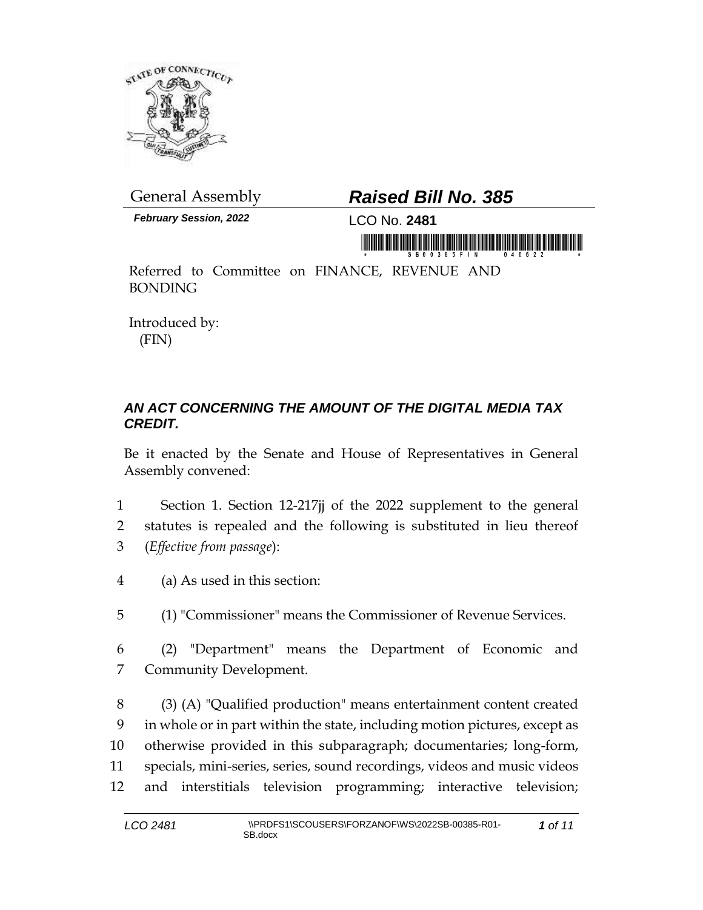

*February Session, 2022* LCO No. **2481**

## General Assembly *Raised Bill No. 385*

in mondial in the first of the first of the first of the first of the first of the first of the first of the f

Referred to Committee on FINANCE, REVENUE AND BONDING

Introduced by: (FIN)

## *AN ACT CONCERNING THE AMOUNT OF THE DIGITAL MEDIA TAX CREDIT.*

Be it enacted by the Senate and House of Representatives in General Assembly convened:

- 1 Section 1. Section 12-217jj of the 2022 supplement to the general 2 statutes is repealed and the following is substituted in lieu thereof 3 (*Effective from passage*):
- 4 (a) As used in this section:
- 5 (1) "Commissioner" means the Commissioner of Revenue Services.
- 6 (2) "Department" means the Department of Economic and 7 Community Development.

 (3) (A) "Qualified production" means entertainment content created in whole or in part within the state, including motion pictures, except as otherwise provided in this subparagraph; documentaries; long-form, specials, mini-series, series, sound recordings, videos and music videos and interstitials television programming; interactive television;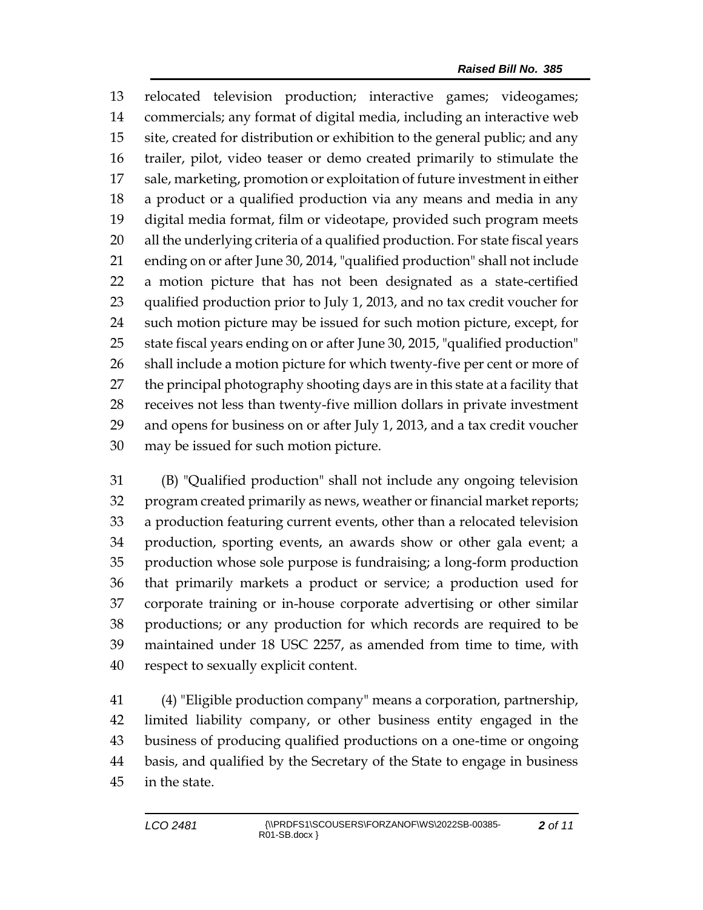relocated television production; interactive games; videogames; commercials; any format of digital media, including an interactive web site, created for distribution or exhibition to the general public; and any trailer, pilot, video teaser or demo created primarily to stimulate the sale, marketing, promotion or exploitation of future investment in either a product or a qualified production via any means and media in any digital media format, film or videotape, provided such program meets all the underlying criteria of a qualified production. For state fiscal years ending on or after June 30, 2014, "qualified production" shall not include a motion picture that has not been designated as a state-certified qualified production prior to July 1, 2013, and no tax credit voucher for such motion picture may be issued for such motion picture, except, for state fiscal years ending on or after June 30, 2015, "qualified production" shall include a motion picture for which twenty-five per cent or more of the principal photography shooting days are in this state at a facility that receives not less than twenty-five million dollars in private investment and opens for business on or after July 1, 2013, and a tax credit voucher may be issued for such motion picture.

 (B) "Qualified production" shall not include any ongoing television program created primarily as news, weather or financial market reports; a production featuring current events, other than a relocated television production, sporting events, an awards show or other gala event; a production whose sole purpose is fundraising; a long-form production that primarily markets a product or service; a production used for corporate training or in-house corporate advertising or other similar productions; or any production for which records are required to be maintained under 18 USC 2257, as amended from time to time, with respect to sexually explicit content.

 (4) "Eligible production company" means a corporation, partnership, limited liability company, or other business entity engaged in the business of producing qualified productions on a one-time or ongoing basis, and qualified by the Secretary of the State to engage in business in the state.

*of 11*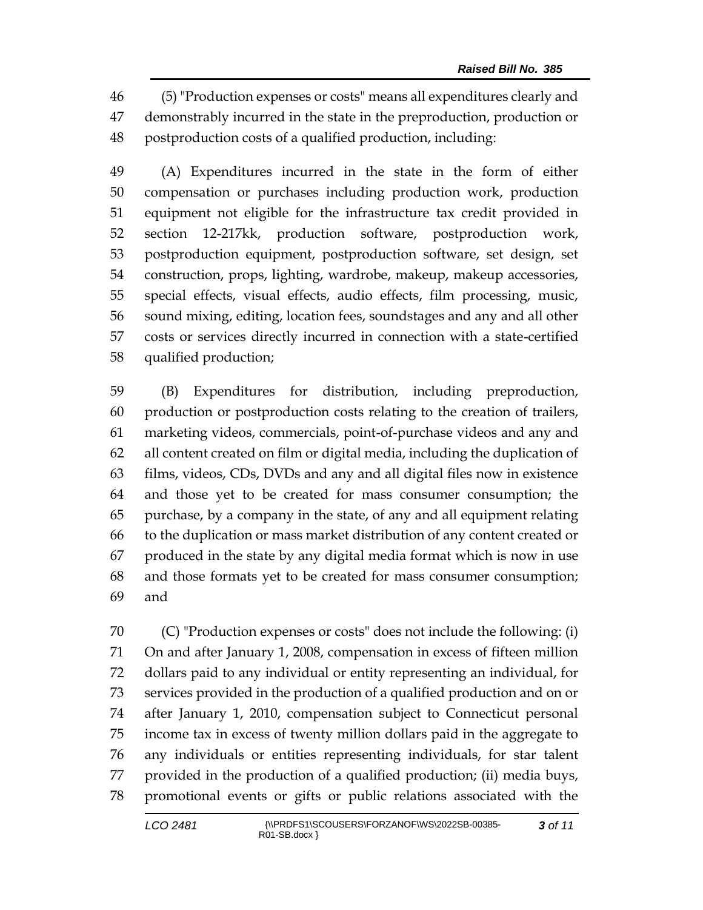(5) "Production expenses or costs" means all expenditures clearly and demonstrably incurred in the state in the preproduction, production or postproduction costs of a qualified production, including:

 (A) Expenditures incurred in the state in the form of either compensation or purchases including production work, production equipment not eligible for the infrastructure tax credit provided in section 12-217kk, production software, postproduction work, postproduction equipment, postproduction software, set design, set construction, props, lighting, wardrobe, makeup, makeup accessories, special effects, visual effects, audio effects, film processing, music, sound mixing, editing, location fees, soundstages and any and all other costs or services directly incurred in connection with a state-certified qualified production;

 (B) Expenditures for distribution, including preproduction, production or postproduction costs relating to the creation of trailers, marketing videos, commercials, point-of-purchase videos and any and all content created on film or digital media, including the duplication of films, videos, CDs, DVDs and any and all digital files now in existence and those yet to be created for mass consumer consumption; the purchase, by a company in the state, of any and all equipment relating to the duplication or mass market distribution of any content created or produced in the state by any digital media format which is now in use and those formats yet to be created for mass consumer consumption; and

 (C) "Production expenses or costs" does not include the following: (i) On and after January 1, 2008, compensation in excess of fifteen million dollars paid to any individual or entity representing an individual, for services provided in the production of a qualified production and on or after January 1, 2010, compensation subject to Connecticut personal income tax in excess of twenty million dollars paid in the aggregate to any individuals or entities representing individuals, for star talent provided in the production of a qualified production; (ii) media buys, promotional events or gifts or public relations associated with the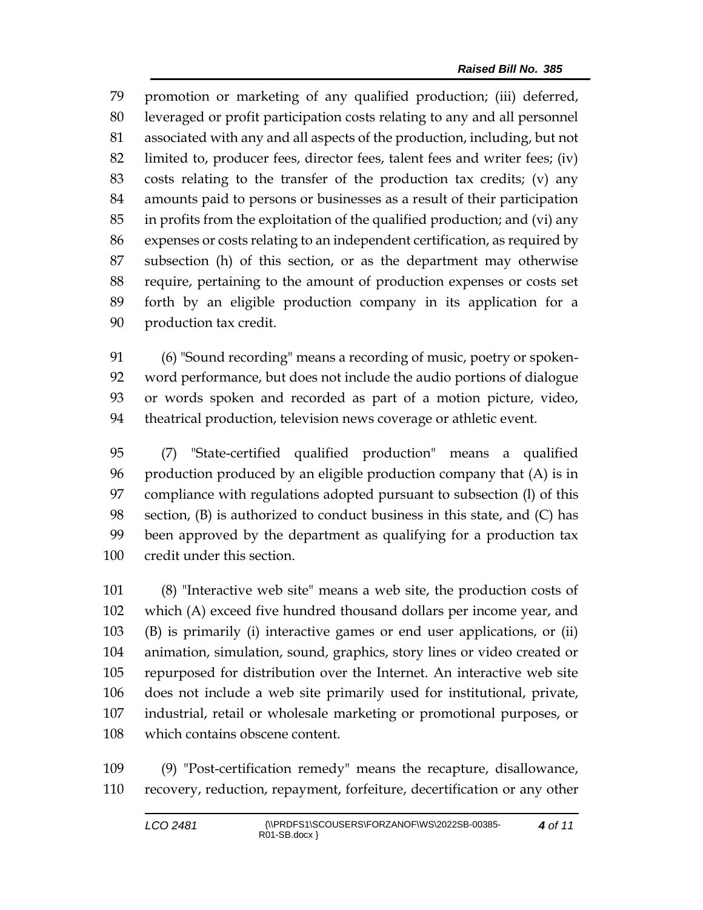promotion or marketing of any qualified production; (iii) deferred, leveraged or profit participation costs relating to any and all personnel associated with any and all aspects of the production, including, but not limited to, producer fees, director fees, talent fees and writer fees; (iv) costs relating to the transfer of the production tax credits; (v) any amounts paid to persons or businesses as a result of their participation in profits from the exploitation of the qualified production; and (vi) any expenses or costs relating to an independent certification, as required by subsection (h) of this section, or as the department may otherwise require, pertaining to the amount of production expenses or costs set forth by an eligible production company in its application for a production tax credit.

 (6) "Sound recording" means a recording of music, poetry or spoken- word performance, but does not include the audio portions of dialogue or words spoken and recorded as part of a motion picture, video, theatrical production, television news coverage or athletic event.

 (7) "State-certified qualified production" means a qualified production produced by an eligible production company that (A) is in compliance with regulations adopted pursuant to subsection (l) of this section, (B) is authorized to conduct business in this state, and (C) has been approved by the department as qualifying for a production tax credit under this section.

 (8) "Interactive web site" means a web site, the production costs of which (A) exceed five hundred thousand dollars per income year, and (B) is primarily (i) interactive games or end user applications, or (ii) animation, simulation, sound, graphics, story lines or video created or repurposed for distribution over the Internet. An interactive web site does not include a web site primarily used for institutional, private, industrial, retail or wholesale marketing or promotional purposes, or which contains obscene content.

 (9) "Post-certification remedy" means the recapture, disallowance, recovery, reduction, repayment, forfeiture, decertification or any other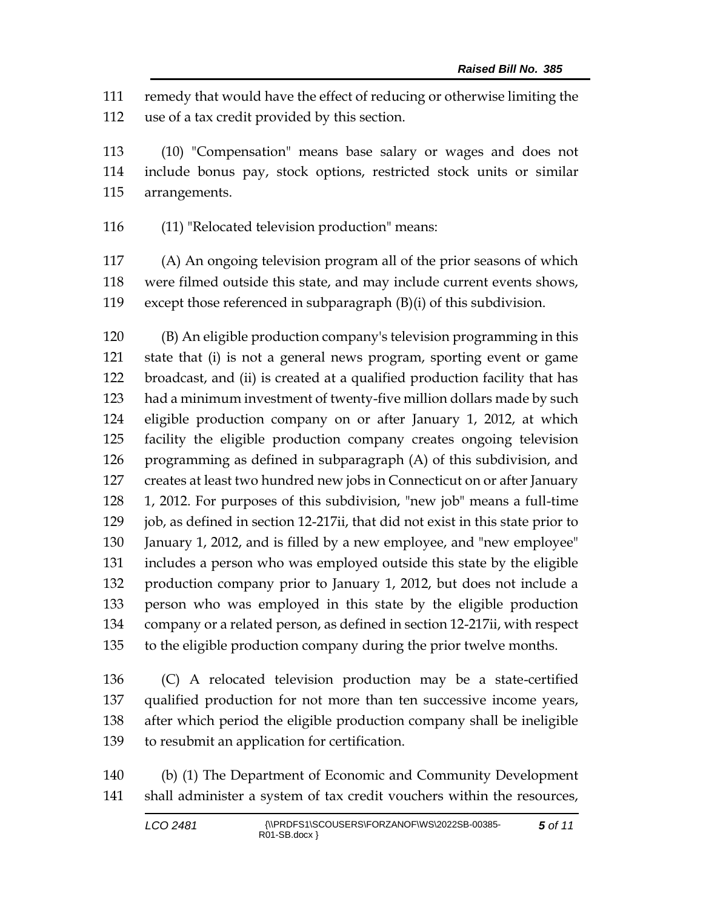remedy that would have the effect of reducing or otherwise limiting the use of a tax credit provided by this section.

 (10) "Compensation" means base salary or wages and does not include bonus pay, stock options, restricted stock units or similar arrangements.

(11) "Relocated television production" means:

 (A) An ongoing television program all of the prior seasons of which were filmed outside this state, and may include current events shows, except those referenced in subparagraph (B)(i) of this subdivision.

 (B) An eligible production company's television programming in this state that (i) is not a general news program, sporting event or game broadcast, and (ii) is created at a qualified production facility that has had a minimum investment of twenty-five million dollars made by such eligible production company on or after January 1, 2012, at which facility the eligible production company creates ongoing television programming as defined in subparagraph (A) of this subdivision, and creates at least two hundred new jobs in Connecticut on or after January 1, 2012. For purposes of this subdivision, "new job" means a full-time 129 job, as defined in section 12-217ii, that did not exist in this state prior to January 1, 2012, and is filled by a new employee, and "new employee" includes a person who was employed outside this state by the eligible production company prior to January 1, 2012, but does not include a person who was employed in this state by the eligible production company or a related person, as defined in section 12-217ii, with respect to the eligible production company during the prior twelve months.

 (C) A relocated television production may be a state-certified qualified production for not more than ten successive income years, after which period the eligible production company shall be ineligible to resubmit an application for certification.

 (b) (1) The Department of Economic and Community Development shall administer a system of tax credit vouchers within the resources,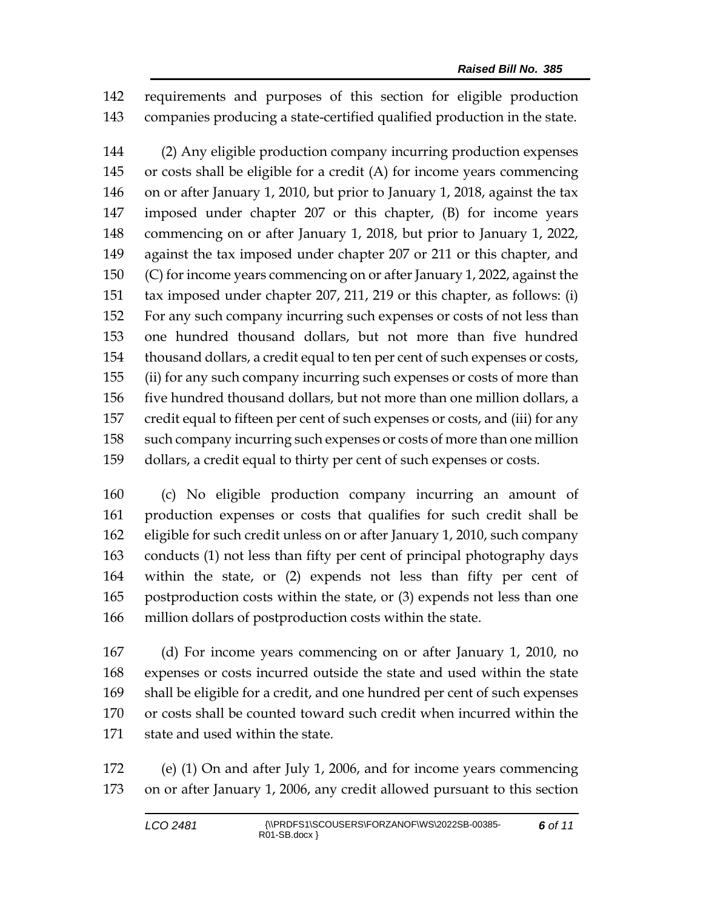requirements and purposes of this section for eligible production companies producing a state-certified qualified production in the state.

 (2) Any eligible production company incurring production expenses or costs shall be eligible for a credit (A) for income years commencing on or after January 1, 2010, but prior to January 1, 2018, against the tax imposed under chapter 207 or this chapter, (B) for income years commencing on or after January 1, 2018, but prior to January 1, 2022, against the tax imposed under chapter 207 or 211 or this chapter, and (C) for income years commencing on or after January 1, 2022, against the tax imposed under chapter 207, 211, 219 or this chapter, as follows: (i) For any such company incurring such expenses or costs of not less than one hundred thousand dollars, but not more than five hundred thousand dollars, a credit equal to ten per cent of such expenses or costs, (ii) for any such company incurring such expenses or costs of more than five hundred thousand dollars, but not more than one million dollars, a credit equal to fifteen per cent of such expenses or costs, and (iii) for any such company incurring such expenses or costs of more than one million dollars, a credit equal to thirty per cent of such expenses or costs.

 (c) No eligible production company incurring an amount of production expenses or costs that qualifies for such credit shall be eligible for such credit unless on or after January 1, 2010, such company conducts (1) not less than fifty per cent of principal photography days within the state, or (2) expends not less than fifty per cent of postproduction costs within the state, or (3) expends not less than one million dollars of postproduction costs within the state.

 (d) For income years commencing on or after January 1, 2010, no expenses or costs incurred outside the state and used within the state shall be eligible for a credit, and one hundred per cent of such expenses or costs shall be counted toward such credit when incurred within the state and used within the state.

 (e) (1) On and after July 1, 2006, and for income years commencing on or after January 1, 2006, any credit allowed pursuant to this section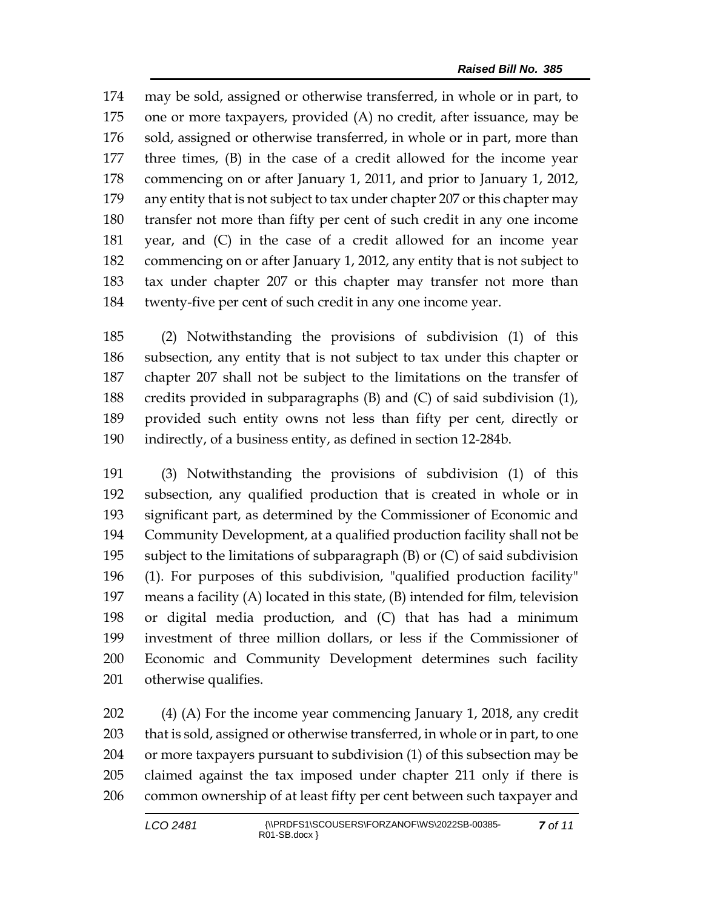may be sold, assigned or otherwise transferred, in whole or in part, to one or more taxpayers, provided (A) no credit, after issuance, may be 176 sold, assigned or otherwise transferred, in whole or in part, more than three times, (B) in the case of a credit allowed for the income year commencing on or after January 1, 2011, and prior to January 1, 2012, any entity that is not subject to tax under chapter 207 or this chapter may transfer not more than fifty per cent of such credit in any one income year, and (C) in the case of a credit allowed for an income year commencing on or after January 1, 2012, any entity that is not subject to tax under chapter 207 or this chapter may transfer not more than twenty-five per cent of such credit in any one income year.

 (2) Notwithstanding the provisions of subdivision (1) of this subsection, any entity that is not subject to tax under this chapter or chapter 207 shall not be subject to the limitations on the transfer of credits provided in subparagraphs (B) and (C) of said subdivision (1), provided such entity owns not less than fifty per cent, directly or indirectly, of a business entity, as defined in section 12-284b.

 (3) Notwithstanding the provisions of subdivision (1) of this subsection, any qualified production that is created in whole or in significant part, as determined by the Commissioner of Economic and Community Development, at a qualified production facility shall not be subject to the limitations of subparagraph (B) or (C) of said subdivision (1). For purposes of this subdivision, "qualified production facility" means a facility (A) located in this state, (B) intended for film, television or digital media production, and (C) that has had a minimum investment of three million dollars, or less if the Commissioner of Economic and Community Development determines such facility otherwise qualifies.

 (4) (A) For the income year commencing January 1, 2018, any credit that is sold, assigned or otherwise transferred, in whole or in part, to one or more taxpayers pursuant to subdivision (1) of this subsection may be claimed against the tax imposed under chapter 211 only if there is common ownership of at least fifty per cent between such taxpayer and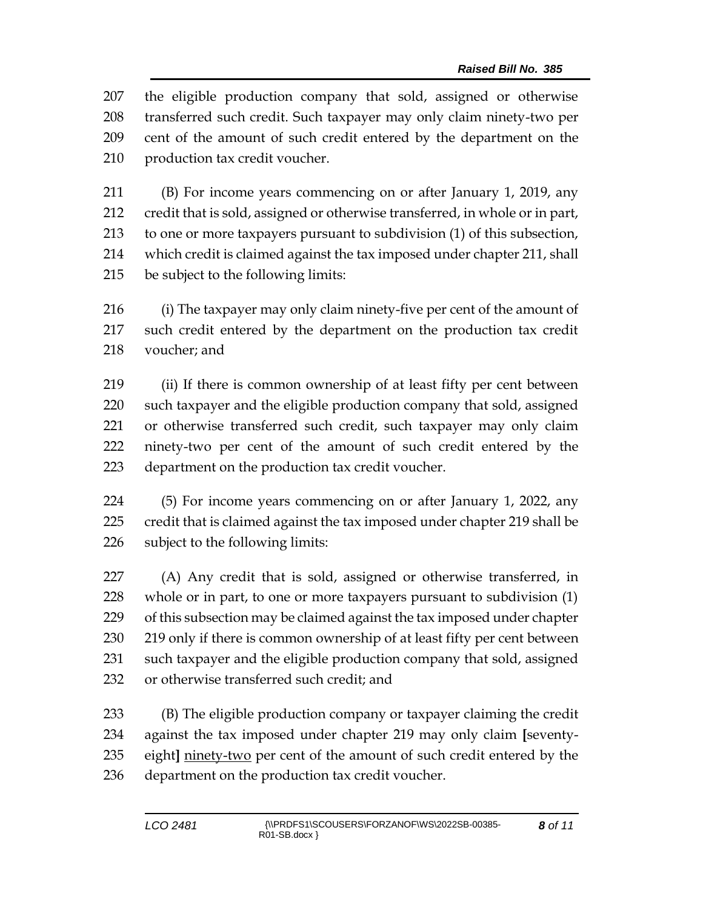the eligible production company that sold, assigned or otherwise transferred such credit. Such taxpayer may only claim ninety-two per cent of the amount of such credit entered by the department on the production tax credit voucher.

 (B) For income years commencing on or after January 1, 2019, any credit that is sold, assigned or otherwise transferred, in whole or in part, to one or more taxpayers pursuant to subdivision (1) of this subsection, which credit is claimed against the tax imposed under chapter 211, shall be subject to the following limits:

 (i) The taxpayer may only claim ninety-five per cent of the amount of such credit entered by the department on the production tax credit voucher; and

 (ii) If there is common ownership of at least fifty per cent between such taxpayer and the eligible production company that sold, assigned or otherwise transferred such credit, such taxpayer may only claim ninety-two per cent of the amount of such credit entered by the department on the production tax credit voucher.

 (5) For income years commencing on or after January 1, 2022, any credit that is claimed against the tax imposed under chapter 219 shall be subject to the following limits:

 (A) Any credit that is sold, assigned or otherwise transferred, in whole or in part, to one or more taxpayers pursuant to subdivision (1) of this subsection may be claimed against the tax imposed under chapter 230 219 only if there is common ownership of at least fifty per cent between such taxpayer and the eligible production company that sold, assigned or otherwise transferred such credit; and

 (B) The eligible production company or taxpayer claiming the credit against the tax imposed under chapter 219 may only claim **[**seventy- eight**]** ninety-two per cent of the amount of such credit entered by the department on the production tax credit voucher.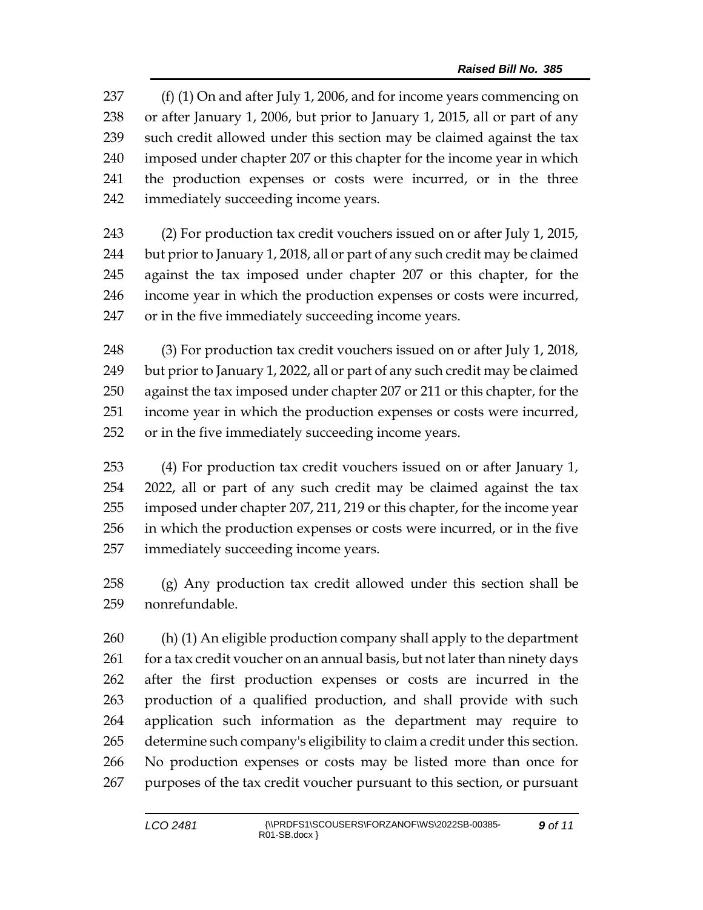237 (f) (1) On and after July 1, 2006, and for income years commencing on or after January 1, 2006, but prior to January 1, 2015, all or part of any such credit allowed under this section may be claimed against the tax imposed under chapter 207 or this chapter for the income year in which the production expenses or costs were incurred, or in the three immediately succeeding income years.

 (2) For production tax credit vouchers issued on or after July 1, 2015, but prior to January 1, 2018, all or part of any such credit may be claimed against the tax imposed under chapter 207 or this chapter, for the income year in which the production expenses or costs were incurred, or in the five immediately succeeding income years.

 (3) For production tax credit vouchers issued on or after July 1, 2018, but prior to January 1, 2022, all or part of any such credit may be claimed against the tax imposed under chapter 207 or 211 or this chapter, for the income year in which the production expenses or costs were incurred, or in the five immediately succeeding income years.

 (4) For production tax credit vouchers issued on or after January 1, 2022, all or part of any such credit may be claimed against the tax imposed under chapter 207, 211, 219 or this chapter, for the income year in which the production expenses or costs were incurred, or in the five immediately succeeding income years.

 (g) Any production tax credit allowed under this section shall be nonrefundable.

 (h) (1) An eligible production company shall apply to the department 261 for a tax credit voucher on an annual basis, but not later than ninety days after the first production expenses or costs are incurred in the production of a qualified production, and shall provide with such application such information as the department may require to determine such company's eligibility to claim a credit under this section. No production expenses or costs may be listed more than once for purposes of the tax credit voucher pursuant to this section, or pursuant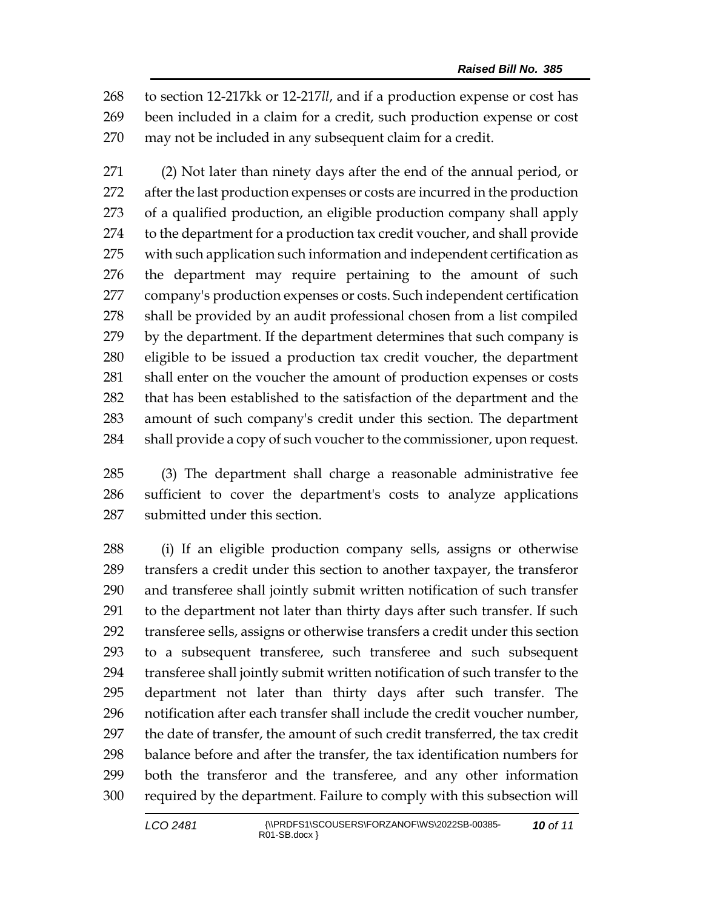to section 12-217kk or 12-217*ll*, and if a production expense or cost has been included in a claim for a credit, such production expense or cost may not be included in any subsequent claim for a credit.

 (2) Not later than ninety days after the end of the annual period, or after the last production expenses or costs are incurred in the production of a qualified production, an eligible production company shall apply to the department for a production tax credit voucher, and shall provide with such application such information and independent certification as the department may require pertaining to the amount of such company's production expenses or costs. Such independent certification shall be provided by an audit professional chosen from a list compiled by the department. If the department determines that such company is eligible to be issued a production tax credit voucher, the department shall enter on the voucher the amount of production expenses or costs that has been established to the satisfaction of the department and the amount of such company's credit under this section. The department 284 shall provide a copy of such voucher to the commissioner, upon request.

 (3) The department shall charge a reasonable administrative fee sufficient to cover the department's costs to analyze applications submitted under this section.

 (i) If an eligible production company sells, assigns or otherwise transfers a credit under this section to another taxpayer, the transferor and transferee shall jointly submit written notification of such transfer to the department not later than thirty days after such transfer. If such transferee sells, assigns or otherwise transfers a credit under this section to a subsequent transferee, such transferee and such subsequent transferee shall jointly submit written notification of such transfer to the department not later than thirty days after such transfer. The notification after each transfer shall include the credit voucher number, the date of transfer, the amount of such credit transferred, the tax credit balance before and after the transfer, the tax identification numbers for both the transferor and the transferee, and any other information required by the department. Failure to comply with this subsection will